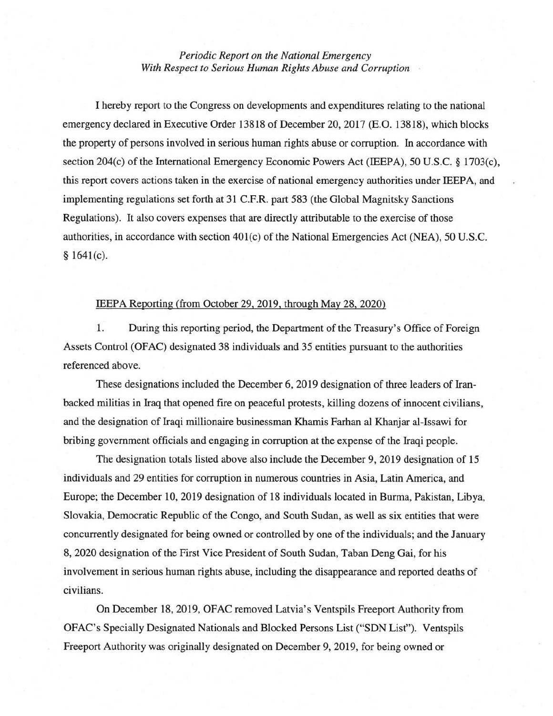## *Periodic Report on the National Emergency With Respect to Serious Human Rights Abuse and Corruption*

I hereby report to the Congress on developments and expenditures relating to the national emergency declared in Executive Order 13818 of December 20, 2017 (E.O. 13818), which blocks the property of persons involved in serious human rights abuse or corruption. In accordance with section 204(c) of the International Emergency Economic Powers Act (IEEPA), 50 U.S.C. § 1703(c), this report covers actions taken in the exercise of national emergency authorities under IEEP A, and implementing regulations set forth at 31 C.F.R. part 583 (the Global Magnitsky Sanctions Regulations). It also covers expenses that are directly attributable to the exercise of those authorities, in accordance with section 401(c) of the National Emergencies Act (NEA), 50 U.S.C. § 1641(c).

## IEEPA Reporting (from October 29, 2019, through May 28, 2020)

1. During this reporting period, the Department of the Treasury's Office of Foreign Assets Control (OFAC) designated 38 individuals and 35 entities pursuant to the authorities referenced above.

These designations included the December 6, 2019 designation of three leaders of Iranbacked militias in Iraq that opened fire on peaceful protests, killing dozens of innocent civilians, and the designation of Iraqi millionaire businessman Khamis Farhan al Khanjar al-Issawi for bribing government officials and engaging in corruption at the expense of the Iraqi people.

The designation totals listed above also include the December 9, 2019 designation of 15 individuals and 29 entities for corruption in numerous countries in Asia, Latin America, and Europe; the December 10, 2019 designation of 18 individuals located in Burma, Pakistan, Libya, Slovakia, Democratic Republic of the Congo, and South Sudan, as well as six entities that were concurrently designated for being owned or controlled by one of the individuals; and the January 8, 2020 designation of the First Vice President of South Sudan, Taban Deng Gai, for his involvement in serious human rights abuse, including the disappearance and reported deaths of civilians.

On December 18, 2019, OFAC removed Latvia's Ventspils Freeport Authority from OFAC's Specially Designated Nationals and Blocked Persons List ("SDN List"). Ventspils Freeport Authority was originally designated on December 9, 2019, for being owned or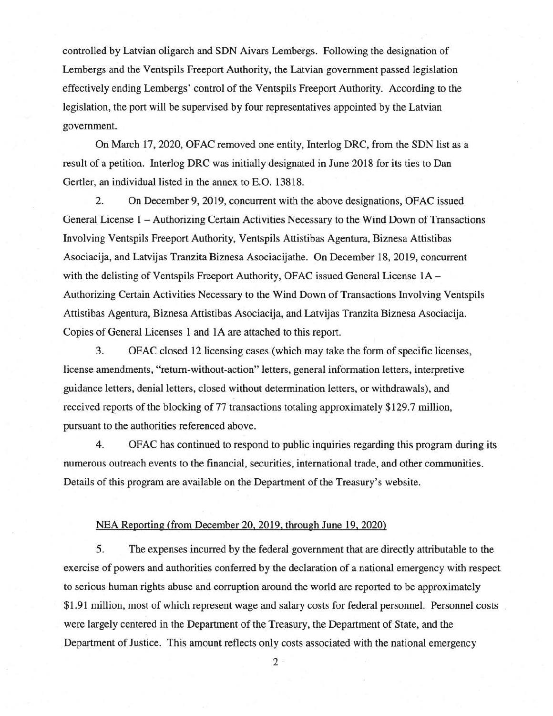controlled by Latvian oligarch and SDN Aivars Lembergs. Following the designation of Lembergs and the Ventspils Freeport Authority, the Latvian government passed legislation effectively ending Lembergs' control of the Ventspils Freeport Authority. According to the legislation, the port will be supervised by four representatives appointed by the Latvian government.

On March 17, 2020, OFAC removed one entity, Interlog DRC, from the SDN list as a result of a petition. lnterlog DRC was initially designated in June 2018 for its ties to Dan Gertler, an individual listed in the annex to E.O. 13818.

2. On December 9, 2019, concurrent with the above designations, OFAC issued General License 1 - Authorizing Certain Activities Necessary to the Wind Down of Transactions Involving Ventspils Freeport Authority, Ventspils Attistibas Agentura, Biznesa Attistibas Asociacija, and Latvijas Tranzita Biznesa Asociacijathe. On December 18, 2019, concurrent with the delisting of Ventspils Freeport Authority, OFAC issued General License 1A -Authorizing Certain Activities Necessary to the Wind Down of Transactions Involving Ventspils Attistibas Agentura, Biznesa Attistibas Asociacija, and Latvijas Tranzita Biznesa Asociacija. Copies of General Licenses 1 and 1A are attached to this report.

3. OFAC closed 12licensing cases (which may take the form of specific licenses, license amendments, "return-without-action" letters, general information letters, interpretive guidance letters, denial letters, closed without determination letters, or withdrawals), and received reports of the blocking of 77 transactions totaling approximately \$129.7 million, pursuant to the authorities referenced above.

4. OFAC has continued to respond to public inquiries regarding this program during its numerous outreach events to the financial, securities, international trade, and other communities. Details of this program are available on the Department of the Treasury's website.

## NEA Reporting (from December 20. 2019. through June 19, 2020)

5. The expenses incurred by the federal government that are directly attributable to the exercise of powers and authorities conferred by the declaration of a national emergency with respect to serious human rights abuse and corruption around the world are reported to be approximately \$1.91 million, most of which represent wage and salary costs for federal personnel. Personnel costs were largely centered in the Department of the Treasury, the Department of State, and the Department of Justice. This amount reflects only costs associated with the national emergency

2